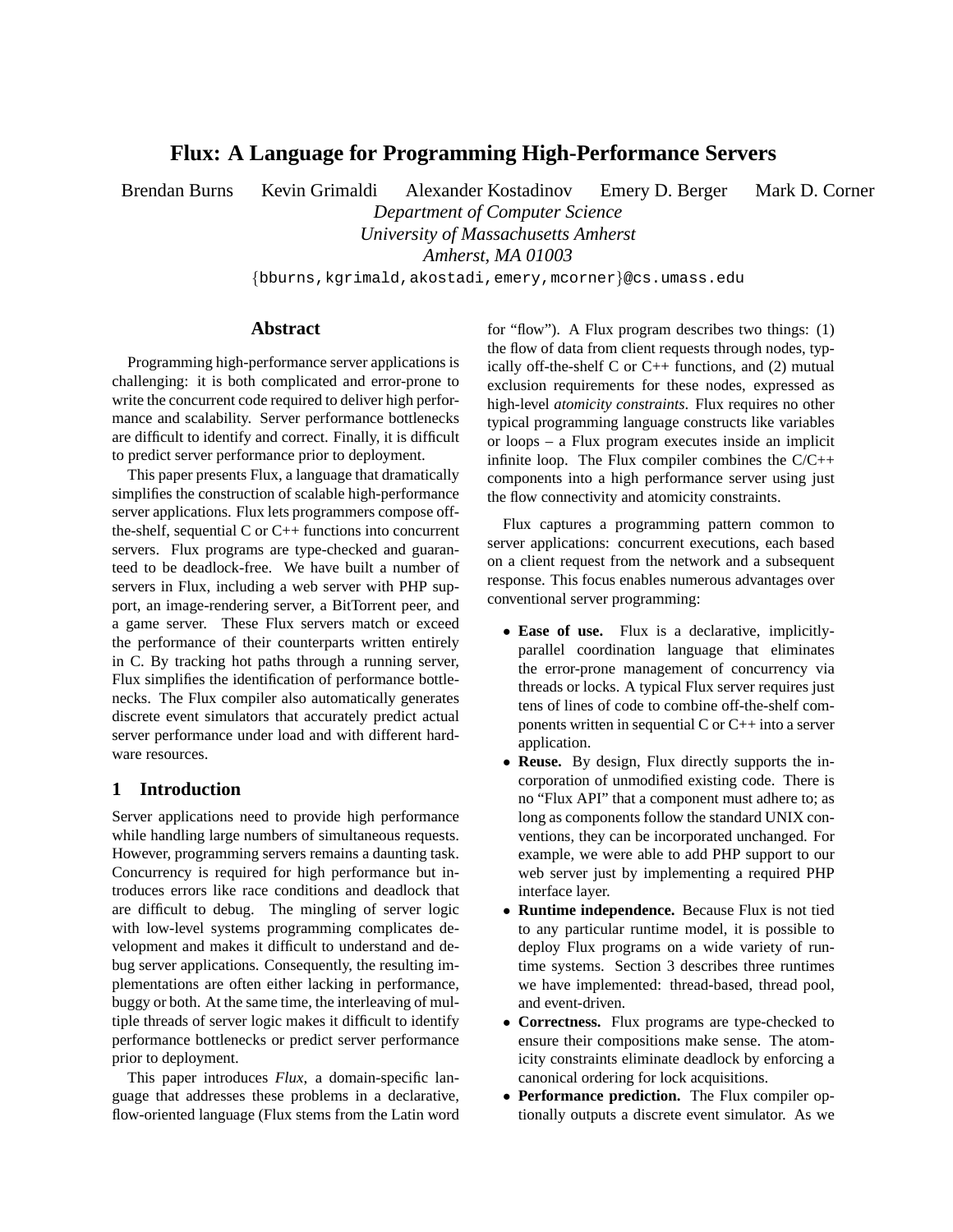# **Flux: A Language for Programming High-Performance Servers**

Brendan Burns Kevin Grimaldi Alexander Kostadinov Emery D. Berger Mark D. Corner *Department of Computer Science University of Massachusetts Amherst Amherst, MA 01003*

{bburns,kgrimald,akostadi,emery,mcorner}@cs.umass.edu

#### **Abstract**

Programming high-performance server applications is challenging: it is both complicated and error-prone to write the concurrent code required to deliver high performance and scalability. Server performance bottlenecks are difficult to identify and correct. Finally, it is difficult to predict server performance prior to deployment.

This paper presents Flux, a language that dramatically simplifies the construction of scalable high-performance server applications. Flux lets programmers compose offthe-shelf, sequential C or C++ functions into concurrent servers. Flux programs are type-checked and guaranteed to be deadlock-free. We have built a number of servers in Flux, including a web server with PHP support, an image-rendering server, a BitTorrent peer, and a game server. These Flux servers match or exceed the performance of their counterparts written entirely in C. By tracking hot paths through a running server, Flux simplifies the identification of performance bottlenecks. The Flux compiler also automatically generates discrete event simulators that accurately predict actual server performance under load and with different hardware resources.

### **1 Introduction**

Server applications need to provide high performance while handling large numbers of simultaneous requests. However, programming servers remains a daunting task. Concurrency is required for high performance but introduces errors like race conditions and deadlock that are difficult to debug. The mingling of server logic with low-level systems programming complicates development and makes it difficult to understand and debug server applications. Consequently, the resulting implementations are often either lacking in performance, buggy or both. At the same time, the interleaving of multiple threads of server logic makes it difficult to identify performance bottlenecks or predict server performance prior to deployment.

This paper introduces *Flux*, a domain-specific language that addresses these problems in a declarative, flow-oriented language (Flux stems from the Latin word for "flow"). A Flux program describes two things: (1) the flow of data from client requests through nodes, typically off-the-shelf C or C++ functions, and (2) mutual exclusion requirements for these nodes, expressed as high-level *atomicity constraints*. Flux requires no other typical programming language constructs like variables or loops – a Flux program executes inside an implicit infinite loop. The Flux compiler combines the C/C++ components into a high performance server using just the flow connectivity and atomicity constraints.

Flux captures a programming pattern common to server applications: concurrent executions, each based on a client request from the network and a subsequent response. This focus enables numerous advantages over conventional server programming:

- **Ease of use.** Flux is a declarative, implicitlyparallel coordination language that eliminates the error-prone management of concurrency via threads or locks. A typical Flux server requires just tens of lines of code to combine off-the-shelf components written in sequential C or C++ into a server application.
- **Reuse.** By design, Flux directly supports the incorporation of unmodified existing code. There is no "Flux API" that a component must adhere to; as long as components follow the standard UNIX conventions, they can be incorporated unchanged. For example, we were able to add PHP support to our web server just by implementing a required PHP interface layer.
- **Runtime independence.** Because Flux is not tied to any particular runtime model, it is possible to deploy Flux programs on a wide variety of runtime systems. Section 3 describes three runtimes we have implemented: thread-based, thread pool, and event-driven.
- **Correctness.** Flux programs are type-checked to ensure their compositions make sense. The atomicity constraints eliminate deadlock by enforcing a canonical ordering for lock acquisitions.
- **Performance prediction.** The Flux compiler optionally outputs a discrete event simulator. As we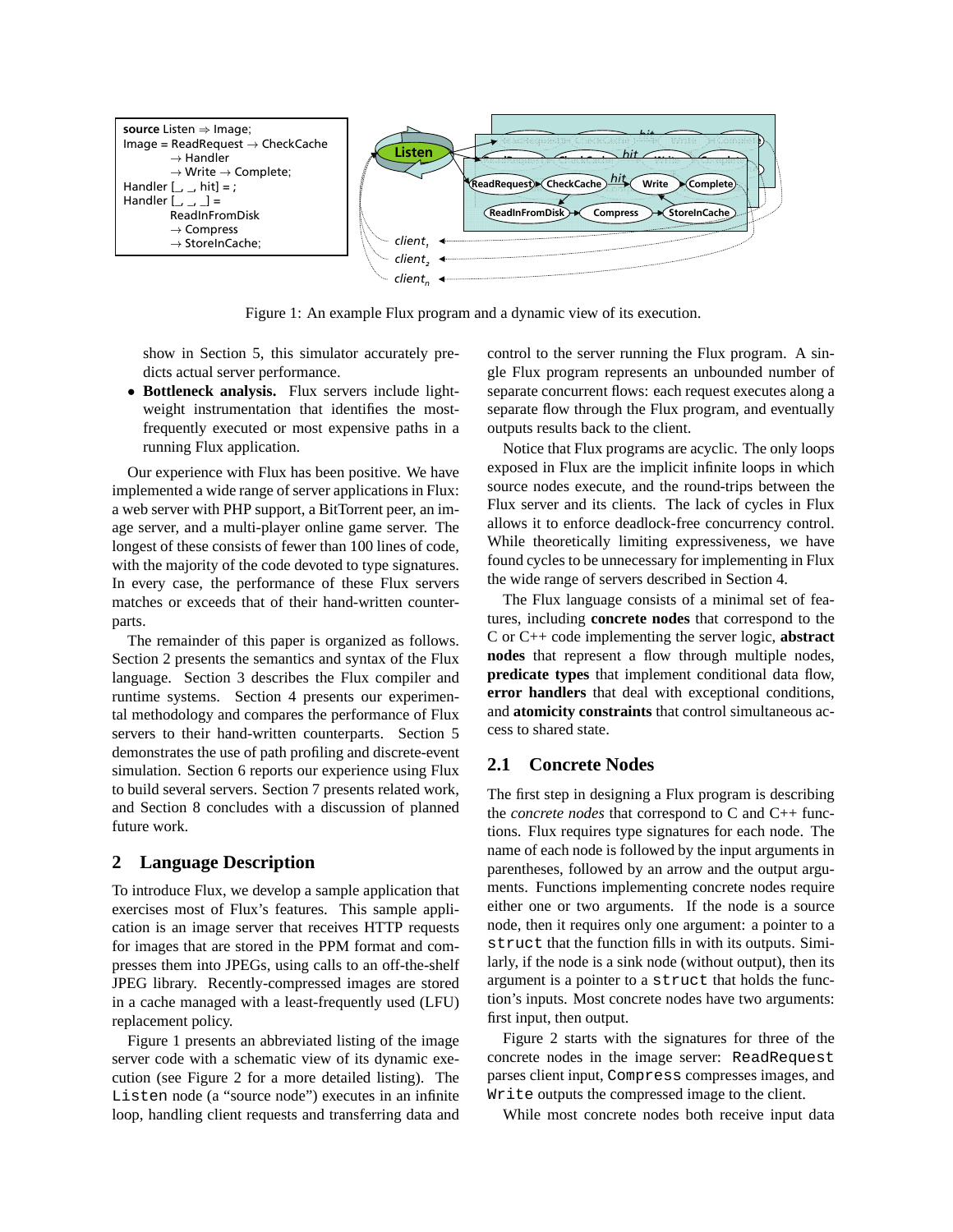

Figure 1: An example Flux program and a dynamic view of its execution.

show in Section 5, this simulator accurately predicts actual server performance.

• **Bottleneck analysis.** Flux servers include lightweight instrumentation that identifies the mostfrequently executed or most expensive paths in a running Flux application.

Our experience with Flux has been positive. We have implemented a wide range of server applications in Flux: a web server with PHP support, a BitTorrent peer, an image server, and a multi-player online game server. The longest of these consists of fewer than 100 lines of code, with the majority of the code devoted to type signatures. In every case, the performance of these Flux servers matches or exceeds that of their hand-written counterparts.

The remainder of this paper is organized as follows. Section 2 presents the semantics and syntax of the Flux language. Section 3 describes the Flux compiler and runtime systems. Section 4 presents our experimental methodology and compares the performance of Flux servers to their hand-written counterparts. Section 5 demonstrates the use of path profiling and discrete-event simulation. Section 6 reports our experience using Flux to build several servers. Section 7 presents related work, and Section 8 concludes with a discussion of planned future work.

# **2 Language Description**

To introduce Flux, we develop a sample application that exercises most of Flux's features. This sample application is an image server that receives HTTP requests for images that are stored in the PPM format and compresses them into JPEGs, using calls to an off-the-shelf JPEG library. Recently-compressed images are stored in a cache managed with a least-frequently used (LFU) replacement policy.

Figure 1 presents an abbreviated listing of the image server code with a schematic view of its dynamic execution (see Figure 2 for a more detailed listing). The Listen node (a "source node") executes in an infinite loop, handling client requests and transferring data and control to the server running the Flux program. A single Flux program represents an unbounded number of separate concurrent flows: each request executes along a separate flow through the Flux program, and eventually outputs results back to the client.

Notice that Flux programs are acyclic. The only loops exposed in Flux are the implicit infinite loops in which source nodes execute, and the round-trips between the Flux server and its clients. The lack of cycles in Flux allows it to enforce deadlock-free concurrency control. While theoretically limiting expressiveness, we have found cycles to be unnecessary for implementing in Flux the wide range of servers described in Section 4.

The Flux language consists of a minimal set of features, including **concrete nodes** that correspond to the C or C++ code implementing the server logic, **abstract nodes** that represent a flow through multiple nodes, **predicate types** that implement conditional data flow, **error handlers** that deal with exceptional conditions, and **atomicity constraints** that control simultaneous access to shared state.

# **2.1 Concrete Nodes**

The first step in designing a Flux program is describing the *concrete nodes* that correspond to C and C++ functions. Flux requires type signatures for each node. The name of each node is followed by the input arguments in parentheses, followed by an arrow and the output arguments. Functions implementing concrete nodes require either one or two arguments. If the node is a source node, then it requires only one argument: a pointer to a struct that the function fills in with its outputs. Similarly, if the node is a sink node (without output), then its argument is a pointer to a struct that holds the function's inputs. Most concrete nodes have two arguments: first input, then output.

Figure 2 starts with the signatures for three of the concrete nodes in the image server: ReadRequest parses client input, Compress compresses images, and Write outputs the compressed image to the client.

While most concrete nodes both receive input data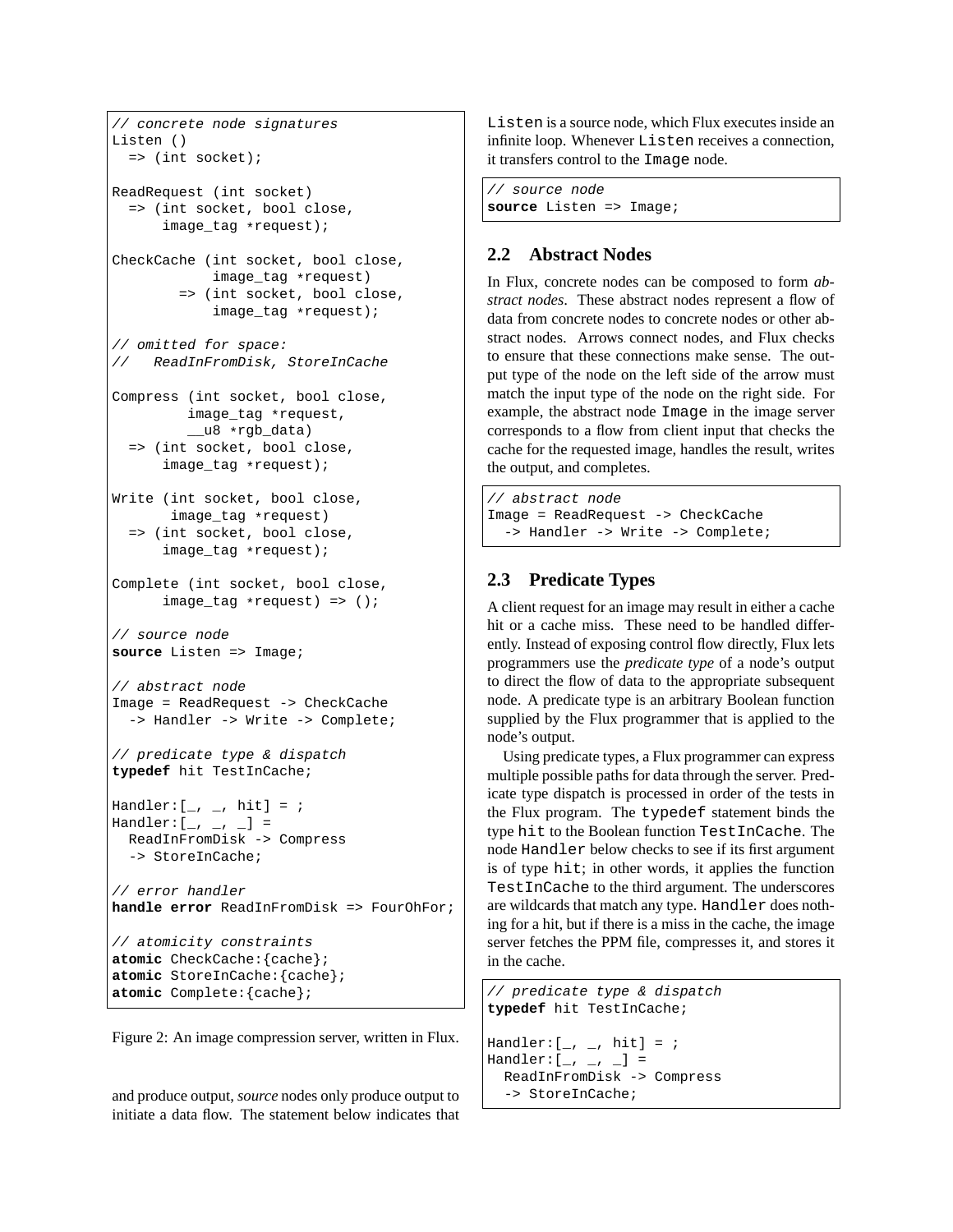```
// concrete node signatures
Listen ()
 => (int socket);
ReadRequest (int socket)
  => (int socket, bool close,
      image_tag *request);
CheckCache (int socket, bool close,
           image_tag *request)
        => (int socket, bool close,
            image_tag *request);
// omitted for space:
// ReadInFromDisk, StoreInCache
Compress (int socket, bool close,
        image_tag *request,
         __u8 *rgb_data)
  => (int socket, bool close,
      image_tag *request);
Write (int socket, bool close,
      image_tag *request)
  => (int socket, bool close,
      image_tag *request);
Complete (int socket, bool close,
      image_tag *request) => ();
// source node
source Listen => Image;
// abstract node
Image = ReadRequest -> CheckCache
 -> Handler -> Write -> Complete;
// predicate type & dispatch
typedef hit TestInCache;
Handler:[\_ , \_ , hit] = ;
Handler:[-, -, -] =ReadInFromDisk -> Compress
  -> StoreInCache;
// error handler
handle error ReadInFromDisk => FourOhFor;
// atomicity constraints
atomic CheckCache:{cache};
atomic StoreInCache:{cache};
atomic Complete:{cache};
```


and produce output, *source* nodes only produce output to initiate a data flow. The statement below indicates that Listen is a source node, which Flux executes inside an infinite loop. Whenever Listen receives a connection, it transfers control to the Image node.

// source node **source** Listen => Image;

# **2.2 Abstract Nodes**

In Flux, concrete nodes can be composed to form *abstract nodes*. These abstract nodes represent a flow of data from concrete nodes to concrete nodes or other abstract nodes. Arrows connect nodes, and Flux checks to ensure that these connections make sense. The output type of the node on the left side of the arrow must match the input type of the node on the right side. For example, the abstract node Image in the image server corresponds to a flow from client input that checks the cache for the requested image, handles the result, writes the output, and completes.

```
// abstract node
Image = ReadRequest -> CheckCache
  -> Handler -> Write -> Complete;
```
# **2.3 Predicate Types**

A client request for an image may result in either a cache hit or a cache miss. These need to be handled differently. Instead of exposing control flow directly, Flux lets programmers use the *predicate type* of a node's output to direct the flow of data to the appropriate subsequent node. A predicate type is an arbitrary Boolean function supplied by the Flux programmer that is applied to the node's output.

Using predicate types, a Flux programmer can express multiple possible paths for data through the server. Predicate type dispatch is processed in order of the tests in the Flux program. The typedef statement binds the type hit to the Boolean function TestInCache. The node Handler below checks to see if its first argument is of type hit; in other words, it applies the function TestInCache to the third argument. The underscores are wildcards that match any type. Handler does nothing for a hit, but if there is a miss in the cache, the image server fetches the PPM file, compresses it, and stores it in the cache.

```
// predicate type & dispatch
typedef hit TestInCache;
\texttt{Handler:} \left[ \begin{array}{cc} & \\ -\end{array} \right., hit] = ;
Handler:[-, -, -] =ReadInFromDisk -> Compress
  -> StoreInCache;
```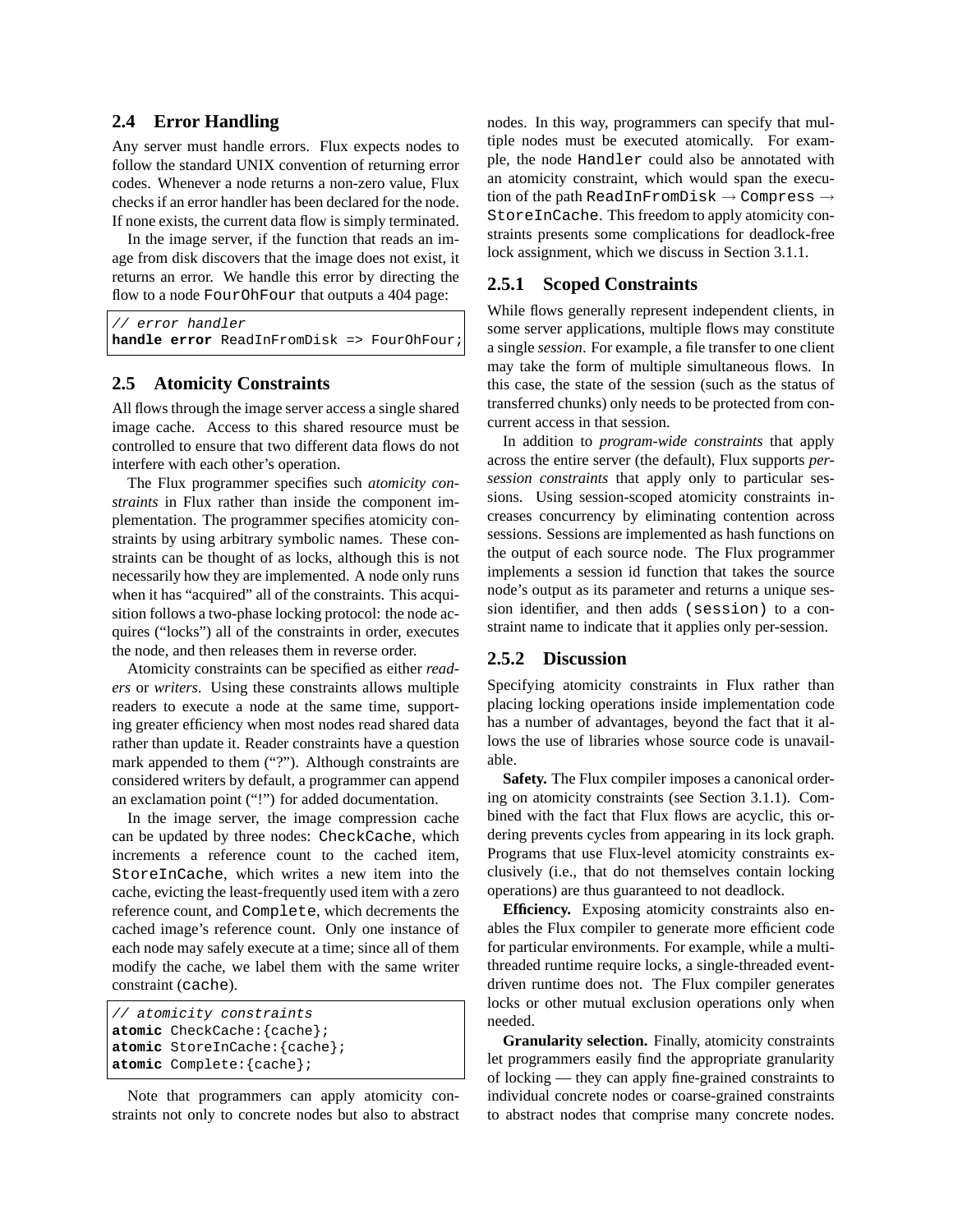# **2.4 Error Handling**

Any server must handle errors. Flux expects nodes to follow the standard UNIX convention of returning error codes. Whenever a node returns a non-zero value, Flux checks if an error handler has been declared for the node. If none exists, the current data flow is simply terminated.

In the image server, if the function that reads an image from disk discovers that the image does not exist, it returns an error. We handle this error by directing the flow to a node FourOhFour that outputs a 404 page:

```
// error handler
handle error ReadInFromDisk => FourOhFour;
```
# **2.5 Atomicity Constraints**

All flows through the image server access a single shared image cache. Access to this shared resource must be controlled to ensure that two different data flows do not interfere with each other's operation.

The Flux programmer specifies such *atomicity constraints* in Flux rather than inside the component implementation. The programmer specifies atomicity constraints by using arbitrary symbolic names. These constraints can be thought of as locks, although this is not necessarily how they are implemented. A node only runs when it has "acquired" all of the constraints. This acquisition follows a two-phase locking protocol: the node acquires ("locks") all of the constraints in order, executes the node, and then releases them in reverse order.

Atomicity constraints can be specified as either *readers* or *writers*. Using these constraints allows multiple readers to execute a node at the same time, supporting greater efficiency when most nodes read shared data rather than update it. Reader constraints have a question mark appended to them ("?"). Although constraints are considered writers by default, a programmer can append an exclamation point ("!") for added documentation.

In the image server, the image compression cache can be updated by three nodes: CheckCache, which increments a reference count to the cached item, StoreInCache, which writes a new item into the cache, evicting the least-frequently used item with a zero reference count, and Complete, which decrements the cached image's reference count. Only one instance of each node may safely execute at a time; since all of them modify the cache, we label them with the same writer constraint (cache).

```
// atomicity constraints
atomic CheckCache:{cache};
atomic StoreInCache:{cache};
atomic Complete:{cache};
```
Note that programmers can apply atomicity constraints not only to concrete nodes but also to abstract nodes. In this way, programmers can specify that multiple nodes must be executed atomically. For example, the node Handler could also be annotated with an atomicity constraint, which would span the execution of the path ReadInFromDisk  $\rightarrow$  Compress  $\rightarrow$ StoreInCache. This freedom to apply atomicity constraints presents some complications for deadlock-free lock assignment, which we discuss in Section 3.1.1.

## **2.5.1 Scoped Constraints**

While flows generally represent independent clients, in some server applications, multiple flows may constitute a single *session*. For example, a file transfer to one client may take the form of multiple simultaneous flows. In this case, the state of the session (such as the status of transferred chunks) only needs to be protected from concurrent access in that session.

In addition to *program-wide constraints* that apply across the entire server (the default), Flux supports *persession constraints* that apply only to particular sessions. Using session-scoped atomicity constraints increases concurrency by eliminating contention across sessions. Sessions are implemented as hash functions on the output of each source node. The Flux programmer implements a session id function that takes the source node's output as its parameter and returns a unique session identifier, and then adds (session) to a constraint name to indicate that it applies only per-session.

# **2.5.2 Discussion**

Specifying atomicity constraints in Flux rather than placing locking operations inside implementation code has a number of advantages, beyond the fact that it allows the use of libraries whose source code is unavailable.

**Safety.** The Flux compiler imposes a canonical ordering on atomicity constraints (see Section 3.1.1). Combined with the fact that Flux flows are acyclic, this ordering prevents cycles from appearing in its lock graph. Programs that use Flux-level atomicity constraints exclusively (i.e., that do not themselves contain locking operations) are thus guaranteed to not deadlock.

**Efficiency.** Exposing atomicity constraints also enables the Flux compiler to generate more efficient code for particular environments. For example, while a multithreaded runtime require locks, a single-threaded eventdriven runtime does not. The Flux compiler generates locks or other mutual exclusion operations only when needed.

**Granularity selection.** Finally, atomicity constraints let programmers easily find the appropriate granularity of locking — they can apply fine-grained constraints to individual concrete nodes or coarse-grained constraints to abstract nodes that comprise many concrete nodes.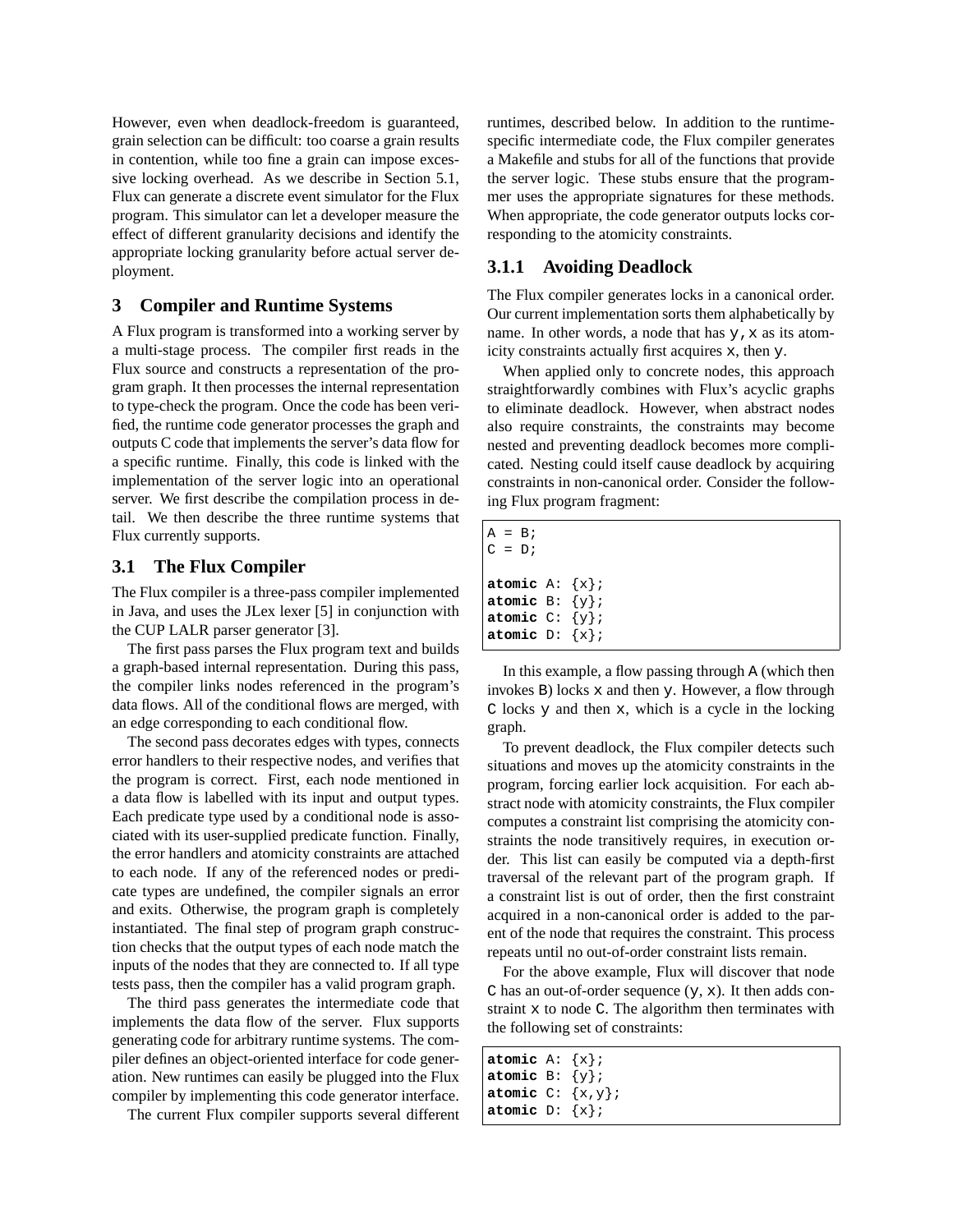However, even when deadlock-freedom is guaranteed, grain selection can be difficult: too coarse a grain results in contention, while too fine a grain can impose excessive locking overhead. As we describe in Section 5.1, Flux can generate a discrete event simulator for the Flux program. This simulator can let a developer measure the effect of different granularity decisions and identify the appropriate locking granularity before actual server deployment.

## **3 Compiler and Runtime Systems**

A Flux program is transformed into a working server by a multi-stage process. The compiler first reads in the Flux source and constructs a representation of the program graph. It then processes the internal representation to type-check the program. Once the code has been verified, the runtime code generator processes the graph and outputs C code that implements the server's data flow for a specific runtime. Finally, this code is linked with the implementation of the server logic into an operational server. We first describe the compilation process in detail. We then describe the three runtime systems that Flux currently supports.

## **3.1 The Flux Compiler**

The Flux compiler is a three-pass compiler implemented in Java, and uses the JLex lexer [5] in conjunction with the CUP LALR parser generator [3].

The first pass parses the Flux program text and builds a graph-based internal representation. During this pass, the compiler links nodes referenced in the program's data flows. All of the conditional flows are merged, with an edge corresponding to each conditional flow.

The second pass decorates edges with types, connects error handlers to their respective nodes, and verifies that the program is correct. First, each node mentioned in a data flow is labelled with its input and output types. Each predicate type used by a conditional node is associated with its user-supplied predicate function. Finally, the error handlers and atomicity constraints are attached to each node. If any of the referenced nodes or predicate types are undefined, the compiler signals an error and exits. Otherwise, the program graph is completely instantiated. The final step of program graph construction checks that the output types of each node match the inputs of the nodes that they are connected to. If all type tests pass, then the compiler has a valid program graph.

The third pass generates the intermediate code that implements the data flow of the server. Flux supports generating code for arbitrary runtime systems. The compiler defines an object-oriented interface for code generation. New runtimes can easily be plugged into the Flux compiler by implementing this code generator interface.

The current Flux compiler supports several different

runtimes, described below. In addition to the runtimespecific intermediate code, the Flux compiler generates a Makefile and stubs for all of the functions that provide the server logic. These stubs ensure that the programmer uses the appropriate signatures for these methods. When appropriate, the code generator outputs locks corresponding to the atomicity constraints.

# **3.1.1 Avoiding Deadlock**

The Flux compiler generates locks in a canonical order. Our current implementation sorts them alphabetically by name. In other words, a node that has  $y$ ,  $x$  as its atomicity constraints actually first acquires x, then y.

When applied only to concrete nodes, this approach straightforwardly combines with Flux's acyclic graphs to eliminate deadlock. However, when abstract nodes also require constraints, the constraints may become nested and preventing deadlock becomes more complicated. Nesting could itself cause deadlock by acquiring constraints in non-canonical order. Consider the following Flux program fragment:

| $A = B$<br>$C = D_i$                                                                  |  |
|---------------------------------------------------------------------------------------|--|
| atomic $A: \{x\}$<br>atomic $B: \{y\};$<br>atomic $C: \{y\}$ ;<br>atomic $D: \{x\}$ ; |  |

In this example, a flow passing through A (which then invokes  $B$ ) locks  $x$  and then  $y$ . However, a flow through C locks y and then x, which is a cycle in the locking graph.

To prevent deadlock, the Flux compiler detects such situations and moves up the atomicity constraints in the program, forcing earlier lock acquisition. For each abstract node with atomicity constraints, the Flux compiler computes a constraint list comprising the atomicity constraints the node transitively requires, in execution order. This list can easily be computed via a depth-first traversal of the relevant part of the program graph. If a constraint list is out of order, then the first constraint acquired in a non-canonical order is added to the parent of the node that requires the constraint. This process repeats until no out-of-order constraint lists remain.

For the above example, Flux will discover that node C has an out-of-order sequence  $(y, x)$ . It then adds constraint x to node C. The algorithm then terminates with the following set of constraints:

| atomic $A: \{x\}$     |  |
|-----------------------|--|
| atomic $B: \{y\}$ ;   |  |
| atomic $C: \{x,y\}$ ; |  |
| atomic $D: \{x\}$     |  |
|                       |  |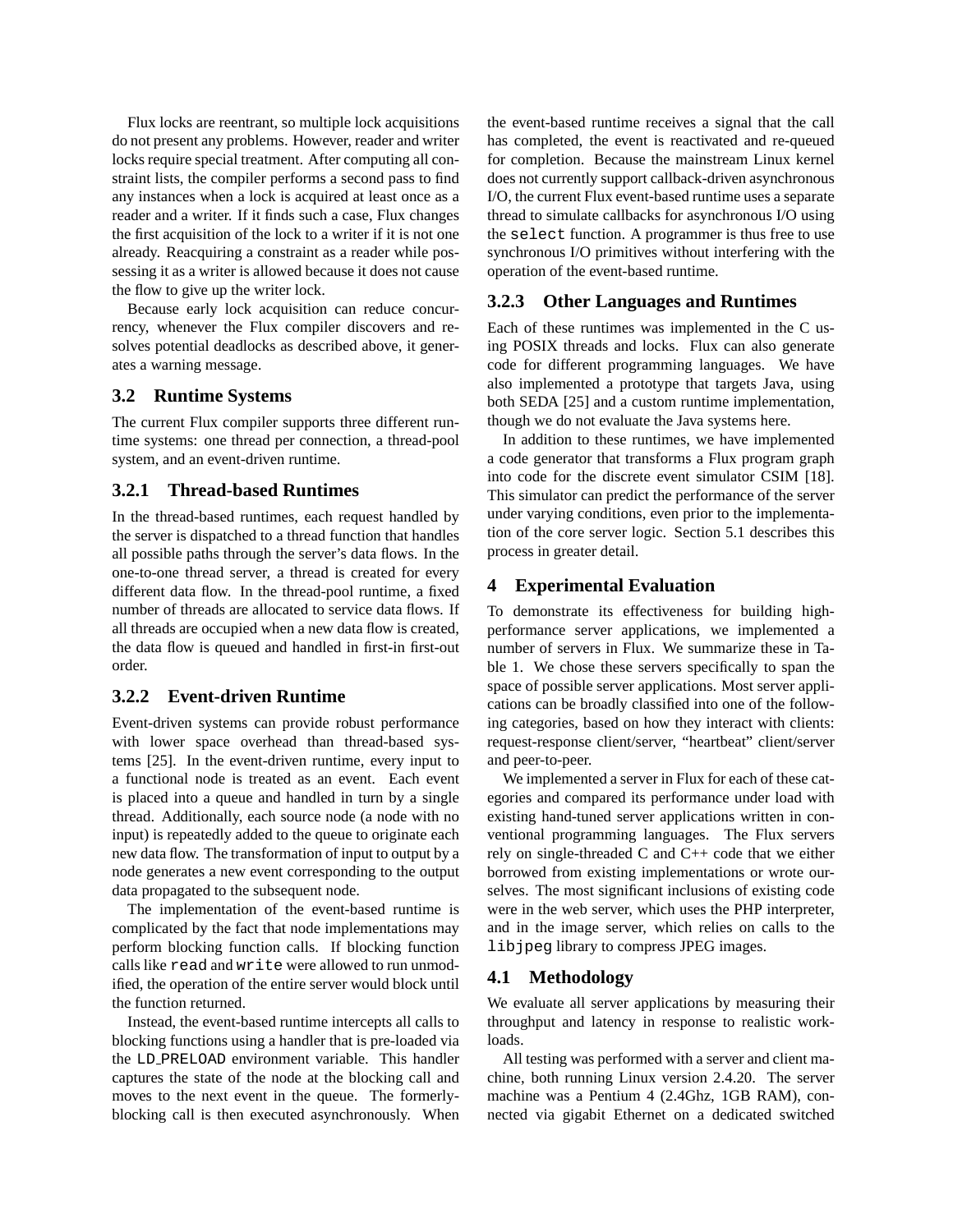Flux locks are reentrant, so multiple lock acquisitions do not present any problems. However, reader and writer locks require special treatment. After computing all constraint lists, the compiler performs a second pass to find any instances when a lock is acquired at least once as a reader and a writer. If it finds such a case, Flux changes the first acquisition of the lock to a writer if it is not one already. Reacquiring a constraint as a reader while possessing it as a writer is allowed because it does not cause the flow to give up the writer lock.

Because early lock acquisition can reduce concurrency, whenever the Flux compiler discovers and resolves potential deadlocks as described above, it generates a warning message.

## **3.2 Runtime Systems**

The current Flux compiler supports three different runtime systems: one thread per connection, a thread-pool system, and an event-driven runtime.

## **3.2.1 Thread-based Runtimes**

In the thread-based runtimes, each request handled by the server is dispatched to a thread function that handles all possible paths through the server's data flows. In the one-to-one thread server, a thread is created for every different data flow. In the thread-pool runtime, a fixed number of threads are allocated to service data flows. If all threads are occupied when a new data flow is created, the data flow is queued and handled in first-in first-out order.

# **3.2.2 Event-driven Runtime**

Event-driven systems can provide robust performance with lower space overhead than thread-based systems [25]. In the event-driven runtime, every input to a functional node is treated as an event. Each event is placed into a queue and handled in turn by a single thread. Additionally, each source node (a node with no input) is repeatedly added to the queue to originate each new data flow. The transformation of input to output by a node generates a new event corresponding to the output data propagated to the subsequent node.

The implementation of the event-based runtime is complicated by the fact that node implementations may perform blocking function calls. If blocking function calls like read and write were allowed to run unmodified, the operation of the entire server would block until the function returned.

Instead, the event-based runtime intercepts all calls to blocking functions using a handler that is pre-loaded via the LD PRELOAD environment variable. This handler captures the state of the node at the blocking call and moves to the next event in the queue. The formerlyblocking call is then executed asynchronously. When the event-based runtime receives a signal that the call has completed, the event is reactivated and re-queued for completion. Because the mainstream Linux kernel does not currently support callback-driven asynchronous I/O, the current Flux event-based runtime uses a separate thread to simulate callbacks for asynchronous I/O using the select function. A programmer is thus free to use synchronous I/O primitives without interfering with the operation of the event-based runtime.

#### **3.2.3 Other Languages and Runtimes**

Each of these runtimes was implemented in the C using POSIX threads and locks. Flux can also generate code for different programming languages. We have also implemented a prototype that targets Java, using both SEDA [25] and a custom runtime implementation, though we do not evaluate the Java systems here.

In addition to these runtimes, we have implemented a code generator that transforms a Flux program graph into code for the discrete event simulator CSIM [18]. This simulator can predict the performance of the server under varying conditions, even prior to the implementation of the core server logic. Section 5.1 describes this process in greater detail.

## **4 Experimental Evaluation**

To demonstrate its effectiveness for building highperformance server applications, we implemented a number of servers in Flux. We summarize these in Table 1. We chose these servers specifically to span the space of possible server applications. Most server applications can be broadly classified into one of the following categories, based on how they interact with clients: request-response client/server, "heartbeat" client/server and peer-to-peer.

We implemented a server in Flux for each of these categories and compared its performance under load with existing hand-tuned server applications written in conventional programming languages. The Flux servers rely on single-threaded C and C++ code that we either borrowed from existing implementations or wrote ourselves. The most significant inclusions of existing code were in the web server, which uses the PHP interpreter, and in the image server, which relies on calls to the libjpeg library to compress JPEG images.

### **4.1 Methodology**

We evaluate all server applications by measuring their throughput and latency in response to realistic workloads.

All testing was performed with a server and client machine, both running Linux version 2.4.20. The server machine was a Pentium 4 (2.4Ghz, 1GB RAM), connected via gigabit Ethernet on a dedicated switched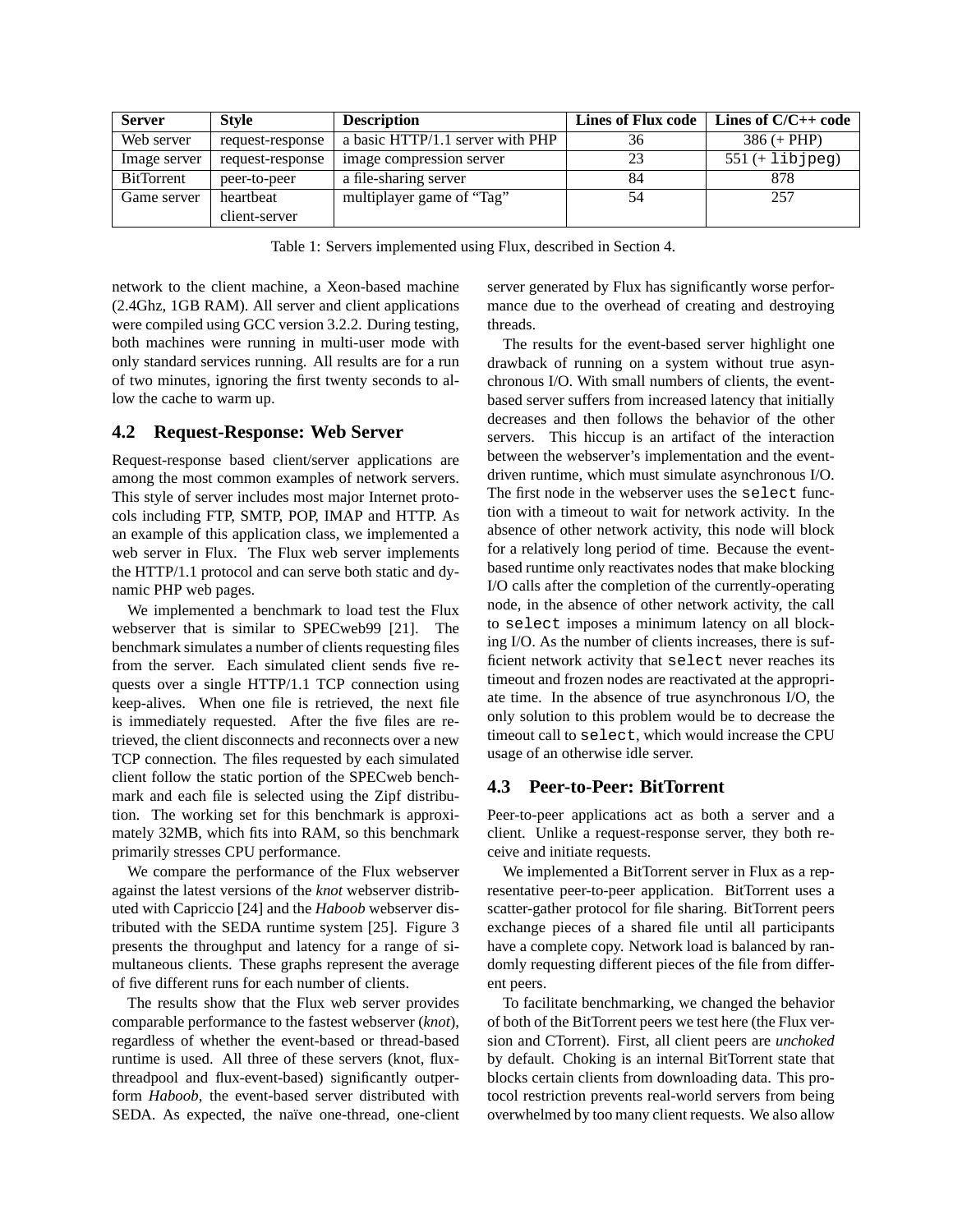| <b>Server</b>     | <b>Style</b>     | <b>Description</b>               | <b>Lines of Flux code</b> | Lines of $C/C++$ code |
|-------------------|------------------|----------------------------------|---------------------------|-----------------------|
| Web server        | request-response | a basic HTTP/1.1 server with PHP | 36                        | $386 (+ PHP)$         |
| Image server      | request-response | image compression server         | 23                        | $551 (+ 11b)$         |
| <b>BitTorrent</b> | peer-to-peer     | a file-sharing server            | 84                        | 878                   |
| Game server       | heartbeat        | multiplayer game of "Tag"        | 54                        | 257                   |
|                   | client-server    |                                  |                           |                       |

Table 1: Servers implemented using Flux, described in Section 4.

network to the client machine, a Xeon-based machine (2.4Ghz, 1GB RAM). All server and client applications were compiled using GCC version 3.2.2. During testing, both machines were running in multi-user mode with only standard services running. All results are for a run of two minutes, ignoring the first twenty seconds to allow the cache to warm up.

## **4.2 Request-Response: Web Server**

Request-response based client/server applications are among the most common examples of network servers. This style of server includes most major Internet protocols including FTP, SMTP, POP, IMAP and HTTP. As an example of this application class, we implemented a web server in Flux. The Flux web server implements the HTTP/1.1 protocol and can serve both static and dynamic PHP web pages.

We implemented a benchmark to load test the Flux webserver that is similar to SPECweb99 [21]. The benchmark simulates a number of clients requesting files from the server. Each simulated client sends five requests over a single HTTP/1.1 TCP connection using keep-alives. When one file is retrieved, the next file is immediately requested. After the five files are retrieved, the client disconnects and reconnects over a new TCP connection. The files requested by each simulated client follow the static portion of the SPECweb benchmark and each file is selected using the Zipf distribution. The working set for this benchmark is approximately 32MB, which fits into RAM, so this benchmark primarily stresses CPU performance.

We compare the performance of the Flux webserver against the latest versions of the *knot* webserver distributed with Capriccio [24] and the *Haboob* webserver distributed with the SEDA runtime system [25]. Figure 3 presents the throughput and latency for a range of simultaneous clients. These graphs represent the average of five different runs for each number of clients.

The results show that the Flux web server provides comparable performance to the fastest webserver (*knot*), regardless of whether the event-based or thread-based runtime is used. All three of these servers (knot, fluxthreadpool and flux-event-based) significantly outperform *Haboob*, the event-based server distributed with SEDA. As expected, the naïve one-thread, one-client server generated by Flux has significantly worse performance due to the overhead of creating and destroying threads.

The results for the event-based server highlight one drawback of running on a system without true asynchronous I/O. With small numbers of clients, the eventbased server suffers from increased latency that initially decreases and then follows the behavior of the other servers. This hiccup is an artifact of the interaction between the webserver's implementation and the eventdriven runtime, which must simulate asynchronous I/O. The first node in the webserver uses the select function with a timeout to wait for network activity. In the absence of other network activity, this node will block for a relatively long period of time. Because the eventbased runtime only reactivates nodes that make blocking I/O calls after the completion of the currently-operating node, in the absence of other network activity, the call to select imposes a minimum latency on all blocking I/O. As the number of clients increases, there is sufficient network activity that select never reaches its timeout and frozen nodes are reactivated at the appropriate time. In the absence of true asynchronous I/O, the only solution to this problem would be to decrease the timeout call to select, which would increase the CPU usage of an otherwise idle server.

# **4.3 Peer-to-Peer: BitTorrent**

Peer-to-peer applications act as both a server and a client. Unlike a request-response server, they both receive and initiate requests.

We implemented a BitTorrent server in Flux as a representative peer-to-peer application. BitTorrent uses a scatter-gather protocol for file sharing. BitTorrent peers exchange pieces of a shared file until all participants have a complete copy. Network load is balanced by randomly requesting different pieces of the file from different peers.

To facilitate benchmarking, we changed the behavior of both of the BitTorrent peers we test here (the Flux version and CTorrent). First, all client peers are *unchoked* by default. Choking is an internal BitTorrent state that blocks certain clients from downloading data. This protocol restriction prevents real-world servers from being overwhelmed by too many client requests. We also allow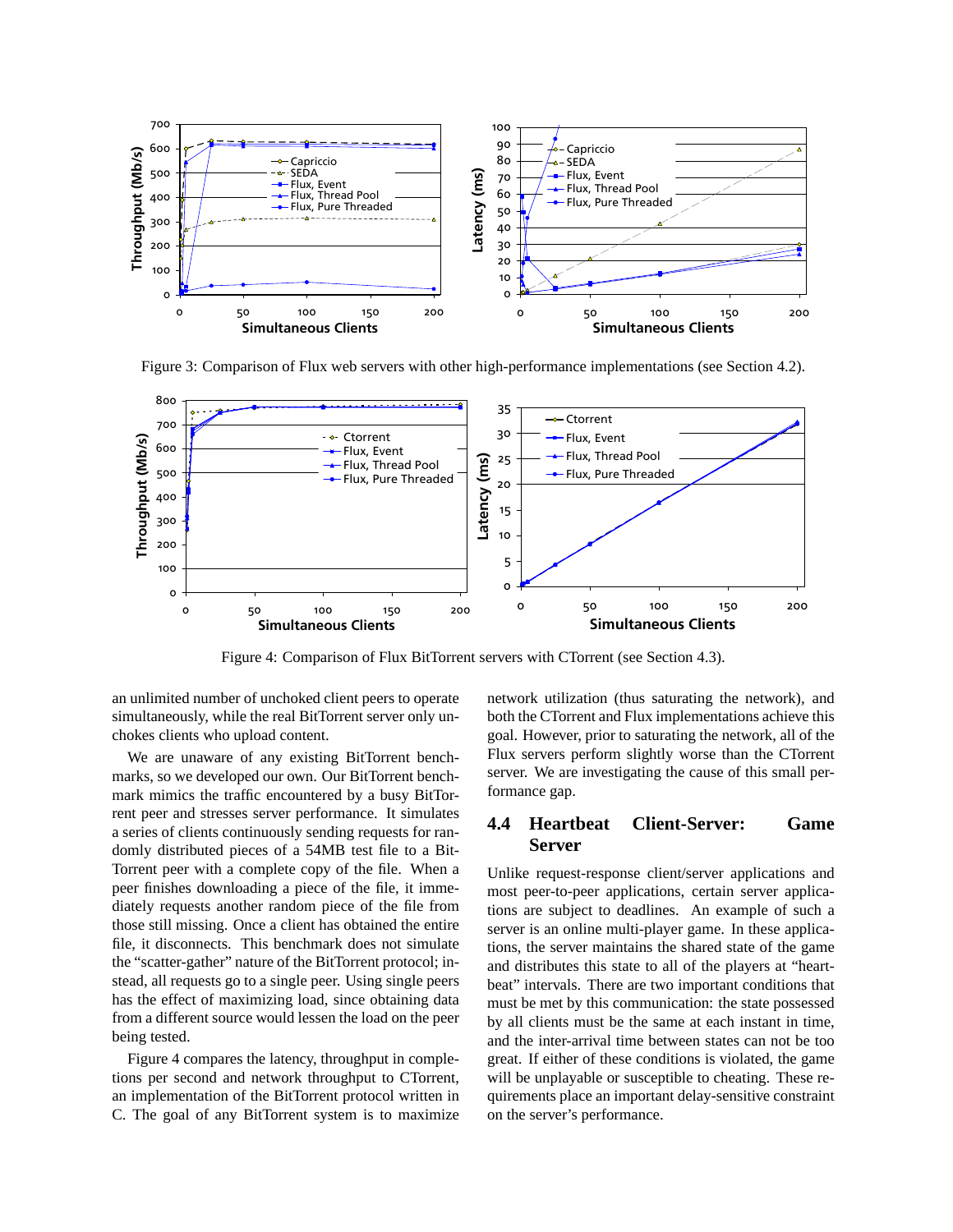

Figure 3: Comparison of Flux web servers with other high-performance implementations (see Section 4.2).



Figure 4: Comparison of Flux BitTorrent servers with CTorrent (see Section 4.3).

an unlimited number of unchoked client peers to operate simultaneously, while the real BitTorrent server only unchokes clients who upload content.

We are unaware of any existing BitTorrent benchmarks, so we developed our own. Our BitTorrent benchmark mimics the traffic encountered by a busy BitTorrent peer and stresses server performance. It simulates a series of clients continuously sending requests for randomly distributed pieces of a 54MB test file to a Bit-Torrent peer with a complete copy of the file. When a peer finishes downloading a piece of the file, it immediately requests another random piece of the file from those still missing. Once a client has obtained the entire file, it disconnects. This benchmark does not simulate the "scatter-gather" nature of the BitTorrent protocol; instead, all requests go to a single peer. Using single peers has the effect of maximizing load, since obtaining data from a different source would lessen the load on the peer being tested.

Figure 4 compares the latency, throughput in completions per second and network throughput to CTorrent, an implementation of the BitTorrent protocol written in C. The goal of any BitTorrent system is to maximize network utilization (thus saturating the network), and both the CTorrent and Flux implementations achieve this goal. However, prior to saturating the network, all of the Flux servers perform slightly worse than the CTorrent server. We are investigating the cause of this small performance gap.

# **4.4 Heartbeat Client-Server: Game Server**

Unlike request-response client/server applications and most peer-to-peer applications, certain server applications are subject to deadlines. An example of such a server is an online multi-player game. In these applications, the server maintains the shared state of the game and distributes this state to all of the players at "heartbeat" intervals. There are two important conditions that must be met by this communication: the state possessed by all clients must be the same at each instant in time, and the inter-arrival time between states can not be too great. If either of these conditions is violated, the game will be unplayable or susceptible to cheating. These requirements place an important delay-sensitive constraint on the server's performance.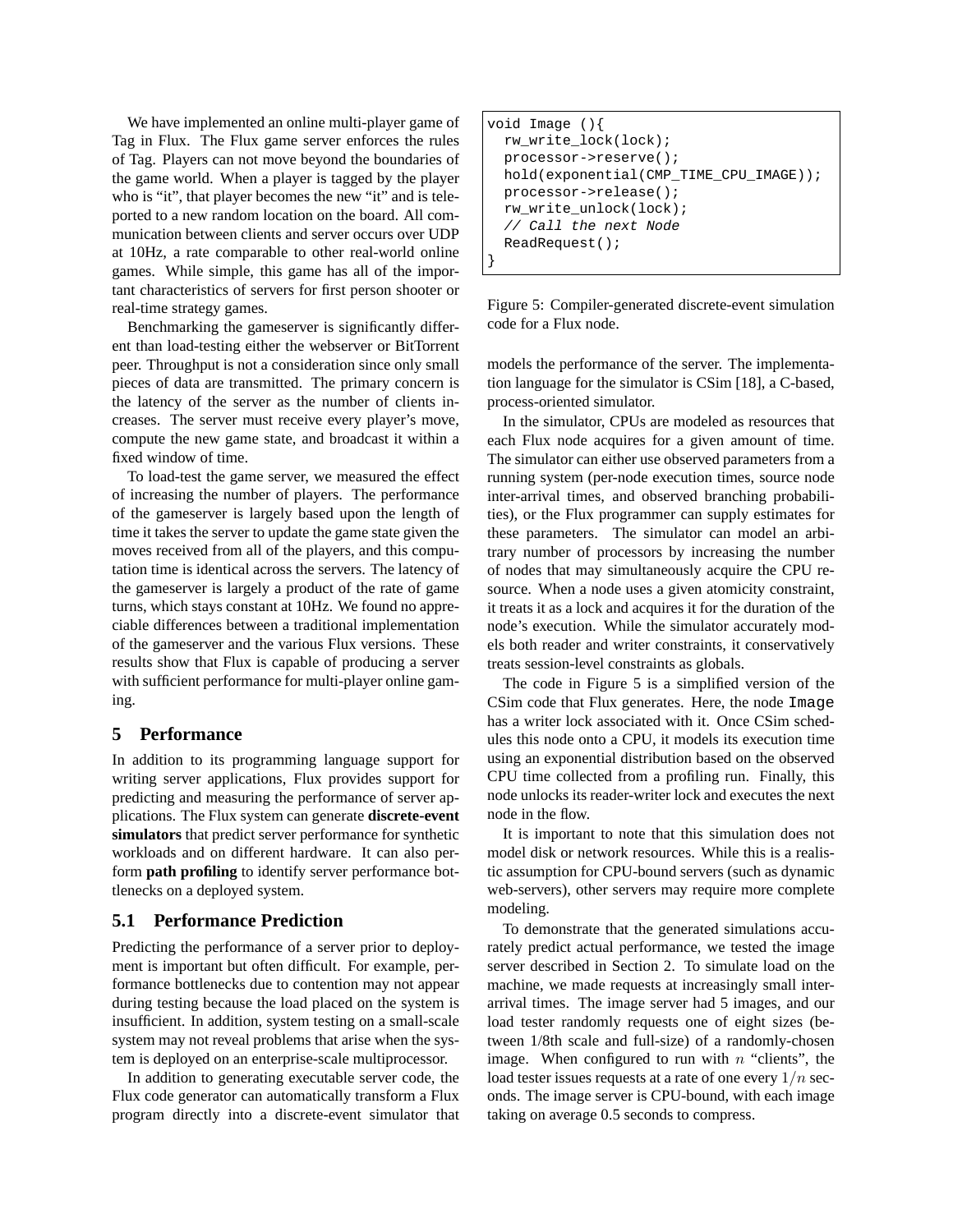We have implemented an online multi-player game of Tag in Flux. The Flux game server enforces the rules of Tag. Players can not move beyond the boundaries of the game world. When a player is tagged by the player who is "it", that player becomes the new "it" and is teleported to a new random location on the board. All communication between clients and server occurs over UDP at 10Hz, a rate comparable to other real-world online games. While simple, this game has all of the important characteristics of servers for first person shooter or real-time strategy games.

Benchmarking the gameserver is significantly different than load-testing either the webserver or BitTorrent peer. Throughput is not a consideration since only small pieces of data are transmitted. The primary concern is the latency of the server as the number of clients increases. The server must receive every player's move, compute the new game state, and broadcast it within a fixed window of time.

To load-test the game server, we measured the effect of increasing the number of players. The performance of the gameserver is largely based upon the length of time it takes the server to update the game state given the moves received from all of the players, and this computation time is identical across the servers. The latency of the gameserver is largely a product of the rate of game turns, which stays constant at 10Hz. We found no appreciable differences between a traditional implementation of the gameserver and the various Flux versions. These results show that Flux is capable of producing a server with sufficient performance for multi-player online gaming.

## **5 Performance**

In addition to its programming language support for writing server applications, Flux provides support for predicting and measuring the performance of server applications. The Flux system can generate **discrete-event simulators** that predict server performance for synthetic workloads and on different hardware. It can also perform **path profiling** to identify server performance bottlenecks on a deployed system.

# **5.1 Performance Prediction**

Predicting the performance of a server prior to deployment is important but often difficult. For example, performance bottlenecks due to contention may not appear during testing because the load placed on the system is insufficient. In addition, system testing on a small-scale system may not reveal problems that arise when the system is deployed on an enterprise-scale multiprocessor.

In addition to generating executable server code, the Flux code generator can automatically transform a Flux program directly into a discrete-event simulator that

```
void Image (){
 rw_write_lock(lock);
 processor->reserve();
 hold(exponential(CMP_TIME_CPU_IMAGE));
 processor->release();
  rw_write_unlock(lock);
  // Call the next Node
 ReadRequest();
}
```
Figure 5: Compiler-generated discrete-event simulation code for a Flux node.

models the performance of the server. The implementation language for the simulator is CSim [18], a C-based, process-oriented simulator.

In the simulator, CPUs are modeled as resources that each Flux node acquires for a given amount of time. The simulator can either use observed parameters from a running system (per-node execution times, source node inter-arrival times, and observed branching probabilities), or the Flux programmer can supply estimates for these parameters. The simulator can model an arbitrary number of processors by increasing the number of nodes that may simultaneously acquire the CPU resource. When a node uses a given atomicity constraint, it treats it as a lock and acquires it for the duration of the node's execution. While the simulator accurately models both reader and writer constraints, it conservatively treats session-level constraints as globals.

The code in Figure 5 is a simplified version of the CSim code that Flux generates. Here, the node Image has a writer lock associated with it. Once CSim schedules this node onto a CPU, it models its execution time using an exponential distribution based on the observed CPU time collected from a profiling run. Finally, this node unlocks its reader-writer lock and executes the next node in the flow.

It is important to note that this simulation does not model disk or network resources. While this is a realistic assumption for CPU-bound servers (such as dynamic web-servers), other servers may require more complete modeling.

To demonstrate that the generated simulations accurately predict actual performance, we tested the image server described in Section 2. To simulate load on the machine, we made requests at increasingly small interarrival times. The image server had 5 images, and our load tester randomly requests one of eight sizes (between 1/8th scale and full-size) of a randomly-chosen image. When configured to run with  $n$  "clients", the load tester issues requests at a rate of one every  $1/n$  seconds. The image server is CPU-bound, with each image taking on average 0.5 seconds to compress.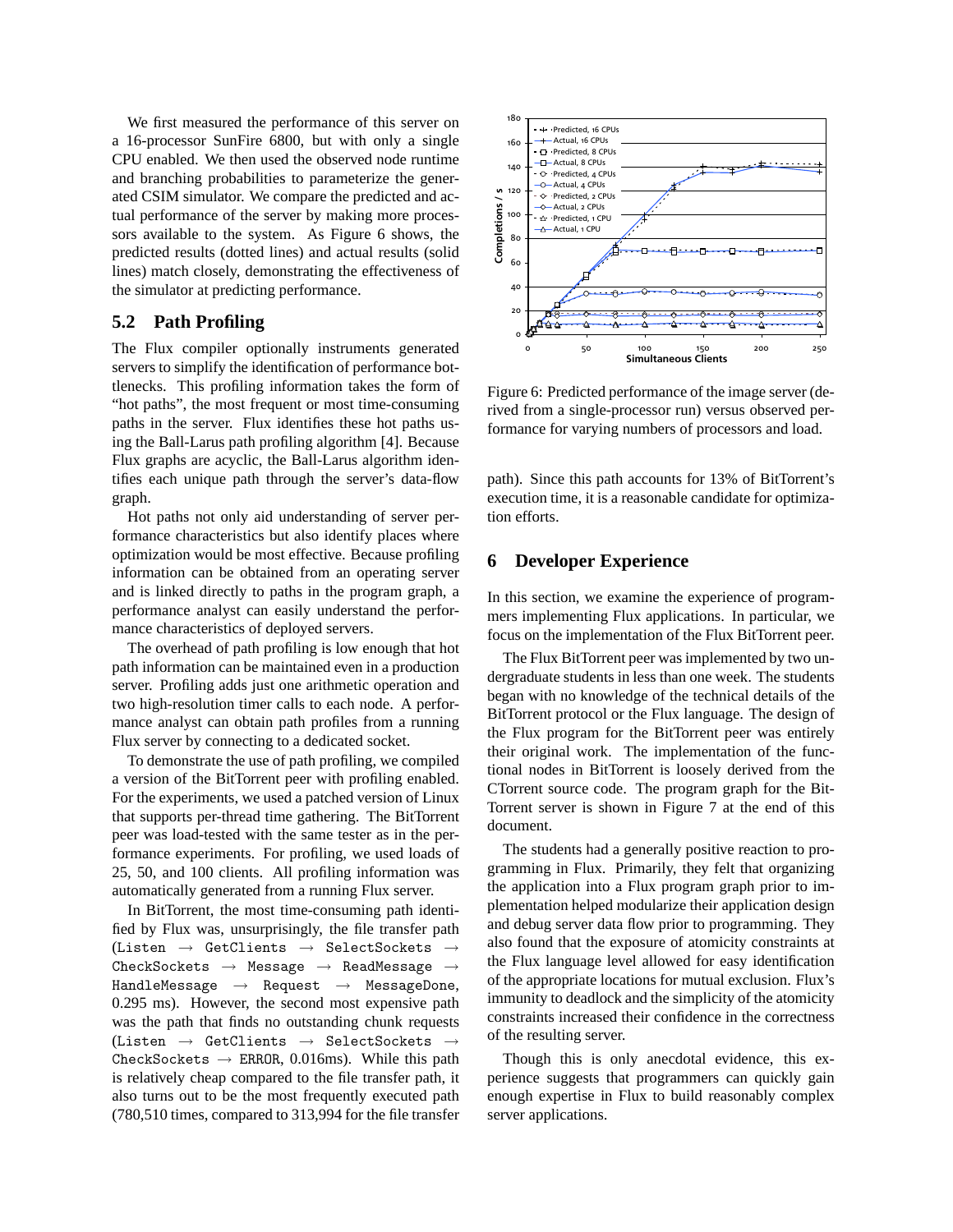We first measured the performance of this server on a 16-processor SunFire 6800, but with only a single CPU enabled. We then used the observed node runtime and branching probabilities to parameterize the generated CSIM simulator. We compare the predicted and actual performance of the server by making more processors available to the system. As Figure 6 shows, the predicted results (dotted lines) and actual results (solid lines) match closely, demonstrating the effectiveness of the simulator at predicting performance.

# **5.2 Path Profiling**

The Flux compiler optionally instruments generated servers to simplify the identification of performance bottlenecks. This profiling information takes the form of "hot paths", the most frequent or most time-consuming paths in the server. Flux identifies these hot paths using the Ball-Larus path profiling algorithm [4]. Because Flux graphs are acyclic, the Ball-Larus algorithm identifies each unique path through the server's data-flow graph.

Hot paths not only aid understanding of server performance characteristics but also identify places where optimization would be most effective. Because profiling information can be obtained from an operating server and is linked directly to paths in the program graph, a performance analyst can easily understand the performance characteristics of deployed servers.

The overhead of path profiling is low enough that hot path information can be maintained even in a production server. Profiling adds just one arithmetic operation and two high-resolution timer calls to each node. A performance analyst can obtain path profiles from a running Flux server by connecting to a dedicated socket.

To demonstrate the use of path profiling, we compiled a version of the BitTorrent peer with profiling enabled. For the experiments, we used a patched version of Linux that supports per-thread time gathering. The BitTorrent peer was load-tested with the same tester as in the performance experiments. For profiling, we used loads of 25, 50, and 100 clients. All profiling information was automatically generated from a running Flux server.

In BitTorrent, the most time-consuming path identified by Flux was, unsurprisingly, the file transfer path (Listen  $\rightarrow$  GetClients  $\rightarrow$  SelectSockets  $CheckSockets \rightarrow Message \rightarrow ReadMessage \rightarrow$ HandleMessage  $\rightarrow$  Request  $\rightarrow$  MessageDone, 0.295 ms). However, the second most expensive path was the path that finds no outstanding chunk requests (Listen  $\rightarrow$  GetClients  $\rightarrow$  SelectSockets  $\rightarrow$ CheckSockets  $\rightarrow$  ERROR, 0.016ms). While this path is relatively cheap compared to the file transfer path, it also turns out to be the most frequently executed path (780,510 times, compared to 313,994 for the file transfer



Figure 6: Predicted performance of the image server (derived from a single-processor run) versus observed performance for varying numbers of processors and load.

path). Since this path accounts for 13% of BitTorrent's execution time, it is a reasonable candidate for optimization efforts.

## **6 Developer Experience**

In this section, we examine the experience of programmers implementing Flux applications. In particular, we focus on the implementation of the Flux BitTorrent peer.

The Flux BitTorrent peer was implemented by two undergraduate students in less than one week. The students began with no knowledge of the technical details of the BitTorrent protocol or the Flux language. The design of the Flux program for the BitTorrent peer was entirely their original work. The implementation of the functional nodes in BitTorrent is loosely derived from the CTorrent source code. The program graph for the Bit-Torrent server is shown in Figure 7 at the end of this document.

The students had a generally positive reaction to programming in Flux. Primarily, they felt that organizing the application into a Flux program graph prior to implementation helped modularize their application design and debug server data flow prior to programming. They also found that the exposure of atomicity constraints at the Flux language level allowed for easy identification of the appropriate locations for mutual exclusion. Flux's immunity to deadlock and the simplicity of the atomicity constraints increased their confidence in the correctness of the resulting server.

Though this is only anecdotal evidence, this experience suggests that programmers can quickly gain enough expertise in Flux to build reasonably complex server applications.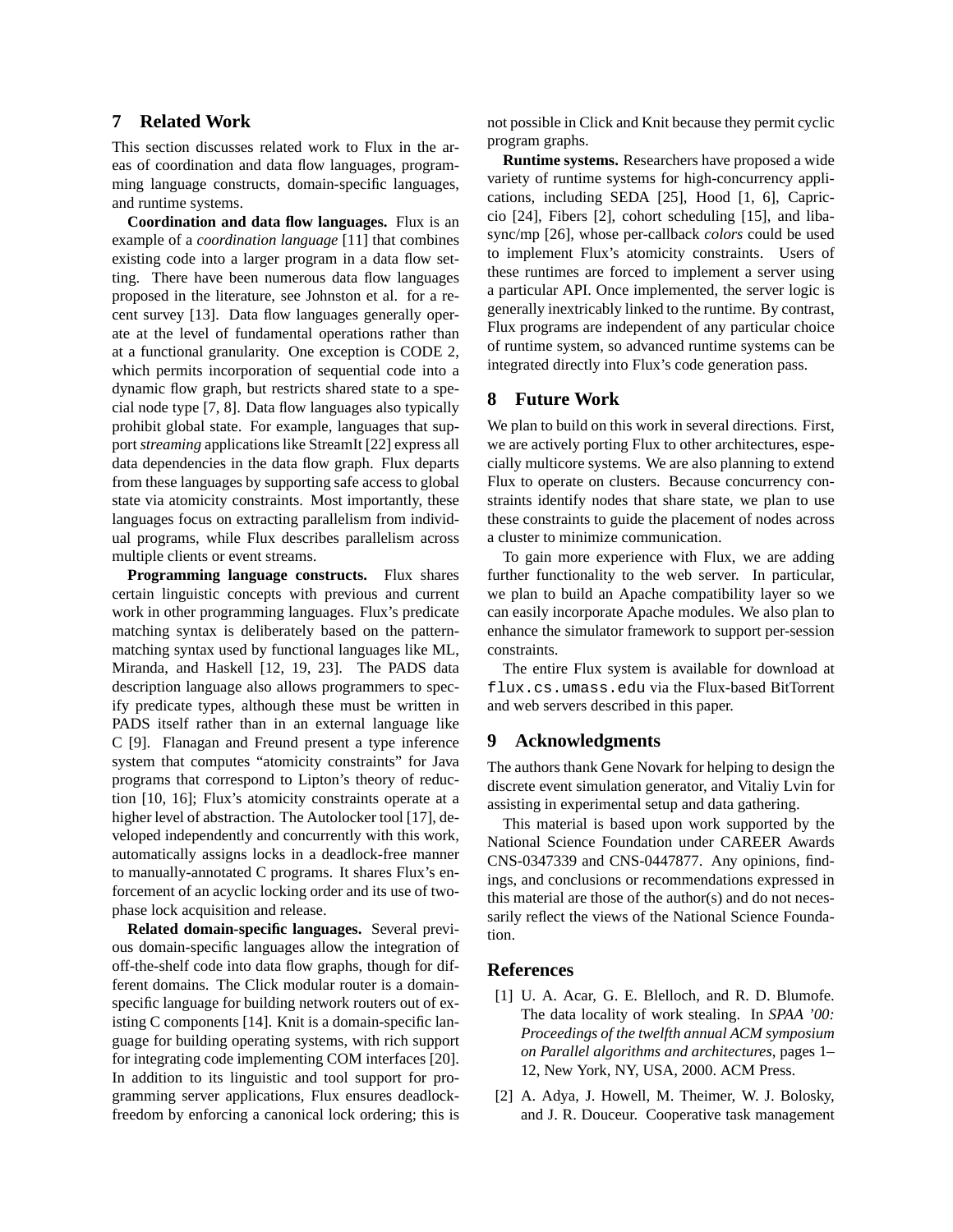# **7 Related Work**

This section discusses related work to Flux in the areas of coordination and data flow languages, programming language constructs, domain-specific languages, and runtime systems.

**Coordination and data flow languages.** Flux is an example of a *coordination language* [11] that combines existing code into a larger program in a data flow setting. There have been numerous data flow languages proposed in the literature, see Johnston et al. for a recent survey [13]. Data flow languages generally operate at the level of fundamental operations rather than at a functional granularity. One exception is CODE 2, which permits incorporation of sequential code into a dynamic flow graph, but restricts shared state to a special node type [7, 8]. Data flow languages also typically prohibit global state. For example, languages that support *streaming* applications like StreamIt [22] express all data dependencies in the data flow graph. Flux departs from these languages by supporting safe access to global state via atomicity constraints. Most importantly, these languages focus on extracting parallelism from individual programs, while Flux describes parallelism across multiple clients or event streams.

**Programming language constructs.** Flux shares certain linguistic concepts with previous and current work in other programming languages. Flux's predicate matching syntax is deliberately based on the patternmatching syntax used by functional languages like ML, Miranda, and Haskell [12, 19, 23]. The PADS data description language also allows programmers to specify predicate types, although these must be written in PADS itself rather than in an external language like C [9]. Flanagan and Freund present a type inference system that computes "atomicity constraints" for Java programs that correspond to Lipton's theory of reduction [10, 16]; Flux's atomicity constraints operate at a higher level of abstraction. The Autolocker tool [17], developed independently and concurrently with this work, automatically assigns locks in a deadlock-free manner to manually-annotated C programs. It shares Flux's enforcement of an acyclic locking order and its use of twophase lock acquisition and release.

**Related domain-specific languages.** Several previous domain-specific languages allow the integration of off-the-shelf code into data flow graphs, though for different domains. The Click modular router is a domainspecific language for building network routers out of existing C components [14]. Knit is a domain-specific language for building operating systems, with rich support for integrating code implementing COM interfaces [20]. In addition to its linguistic and tool support for programming server applications, Flux ensures deadlockfreedom by enforcing a canonical lock ordering; this is not possible in Click and Knit because they permit cyclic program graphs.

**Runtime systems.** Researchers have proposed a wide variety of runtime systems for high-concurrency applications, including SEDA [25], Hood [1, 6], Capriccio [24], Fibers [2], cohort scheduling [15], and libasync/mp [26], whose per-callback *colors* could be used to implement Flux's atomicity constraints. Users of these runtimes are forced to implement a server using a particular API. Once implemented, the server logic is generally inextricably linked to the runtime. By contrast, Flux programs are independent of any particular choice of runtime system, so advanced runtime systems can be integrated directly into Flux's code generation pass.

## **8 Future Work**

We plan to build on this work in several directions. First, we are actively porting Flux to other architectures, especially multicore systems. We are also planning to extend Flux to operate on clusters. Because concurrency constraints identify nodes that share state, we plan to use these constraints to guide the placement of nodes across a cluster to minimize communication.

To gain more experience with Flux, we are adding further functionality to the web server. In particular, we plan to build an Apache compatibility layer so we can easily incorporate Apache modules. We also plan to enhance the simulator framework to support per-session constraints.

The entire Flux system is available for download at flux.cs.umass.edu via the Flux-based BitTorrent and web servers described in this paper.

## **9 Acknowledgments**

The authors thank Gene Novark for helping to design the discrete event simulation generator, and Vitaliy Lvin for assisting in experimental setup and data gathering.

This material is based upon work supported by the National Science Foundation under CAREER Awards CNS-0347339 and CNS-0447877. Any opinions, findings, and conclusions or recommendations expressed in this material are those of the author(s) and do not necessarily reflect the views of the National Science Foundation.

## **References**

- [1] U. A. Acar, G. E. Blelloch, and R. D. Blumofe. The data locality of work stealing. In *SPAA '00: Proceedings of the twelfth annual ACM symposium on Parallel algorithms and architectures*, pages 1– 12, New York, NY, USA, 2000. ACM Press.
- [2] A. Adya, J. Howell, M. Theimer, W. J. Bolosky, and J. R. Douceur. Cooperative task management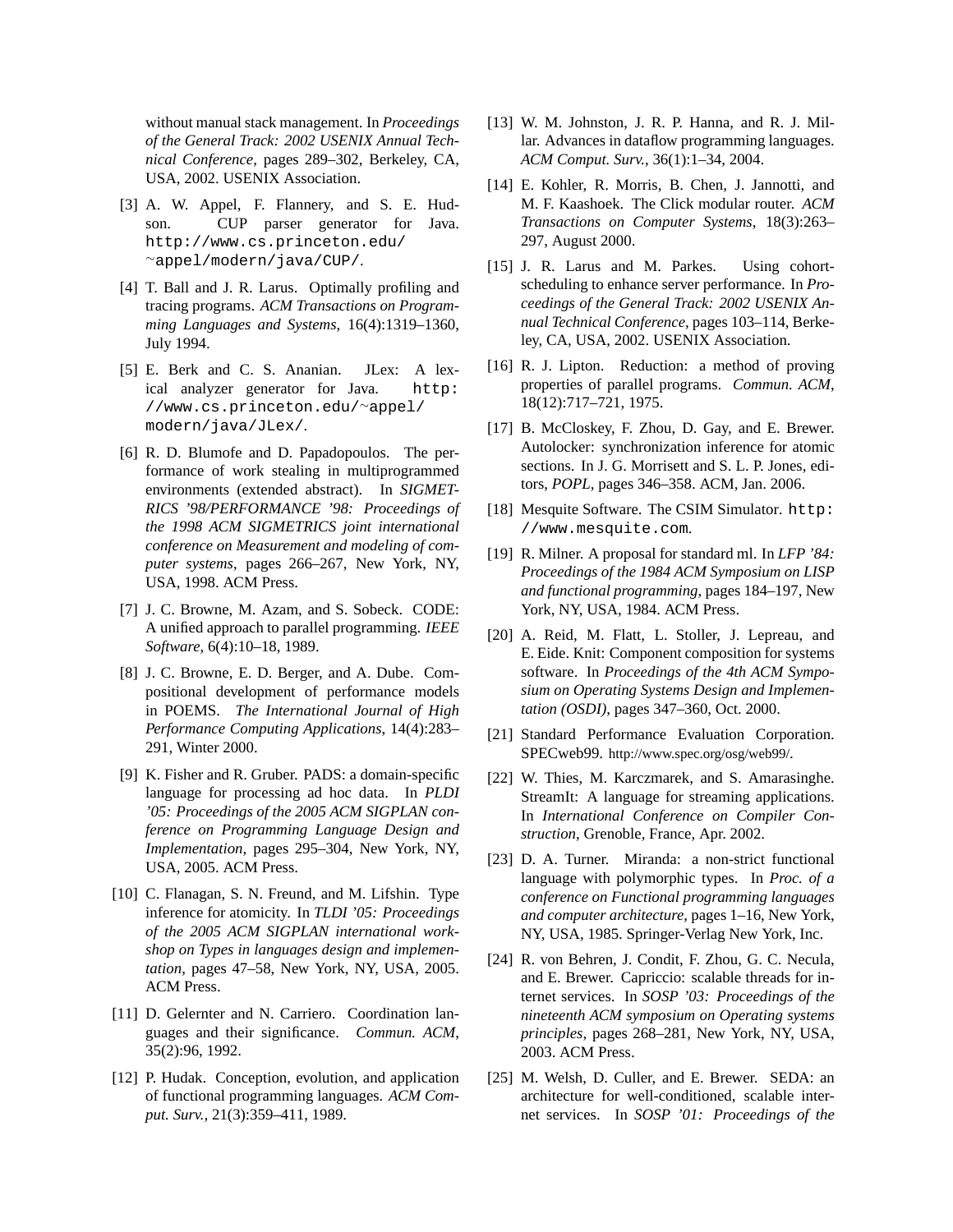without manual stack management. In *Proceedings of the General Track: 2002 USENIX Annual Technical Conference*, pages 289–302, Berkeley, CA, USA, 2002. USENIX Association.

- [3] A. W. Appel, F. Flannery, and S. E. Hudson. CUP parser generator for Java. http://www.cs.princeton.edu/ <sup>∼</sup>appel/modern/java/CUP/.
- [4] T. Ball and J. R. Larus. Optimally profiling and tracing programs. *ACM Transactions on Programming Languages and Systems*, 16(4):1319–1360, July 1994.
- [5] E. Berk and C. S. Ananian. JLex: A lexical analyzer generator for Java. http: //www.cs.princeton.edu/<sup>∼</sup>appel/ modern/java/JLex/.
- [6] R. D. Blumofe and D. Papadopoulos. The performance of work stealing in multiprogrammed environments (extended abstract). In *SIGMET-RICS '98/PERFORMANCE '98: Proceedings of the 1998 ACM SIGMETRICS joint international conference on Measurement and modeling of computer systems*, pages 266–267, New York, NY, USA, 1998. ACM Press.
- [7] J. C. Browne, M. Azam, and S. Sobeck. CODE: A unified approach to parallel programming. *IEEE Software*, 6(4):10–18, 1989.
- [8] J. C. Browne, E. D. Berger, and A. Dube. Compositional development of performance models in POEMS. *The International Journal of High Performance Computing Applications*, 14(4):283– 291, Winter 2000.
- [9] K. Fisher and R. Gruber. PADS: a domain-specific language for processing ad hoc data. In *PLDI '05: Proceedings of the 2005 ACM SIGPLAN conference on Programming Language Design and Implementation*, pages 295–304, New York, NY, USA, 2005. ACM Press.
- [10] C. Flanagan, S. N. Freund, and M. Lifshin. Type inference for atomicity. In *TLDI '05: Proceedings of the 2005 ACM SIGPLAN international workshop on Types in languages design and implementation*, pages 47–58, New York, NY, USA, 2005. ACM Press.
- [11] D. Gelernter and N. Carriero. Coordination languages and their significance. *Commun. ACM*, 35(2):96, 1992.
- [12] P. Hudak. Conception, evolution, and application of functional programming languages. *ACM Comput. Surv.*, 21(3):359–411, 1989.
- [13] W. M. Johnston, J. R. P. Hanna, and R. J. Millar. Advances in dataflow programming languages. *ACM Comput. Surv.*, 36(1):1–34, 2004.
- [14] E. Kohler, R. Morris, B. Chen, J. Jannotti, and M. F. Kaashoek. The Click modular router. *ACM Transactions on Computer Systems*, 18(3):263– 297, August 2000.
- [15] J. R. Larus and M. Parkes. Using cohortscheduling to enhance server performance. In *Proceedings of the General Track: 2002 USENIX Annual Technical Conference*, pages 103–114, Berkeley, CA, USA, 2002. USENIX Association.
- [16] R. J. Lipton. Reduction: a method of proving properties of parallel programs. *Commun. ACM*, 18(12):717–721, 1975.
- [17] B. McCloskey, F. Zhou, D. Gay, and E. Brewer. Autolocker: synchronization inference for atomic sections. In J. G. Morrisett and S. L. P. Jones, editors, *POPL*, pages 346–358. ACM, Jan. 2006.
- [18] Mesquite Software. The CSIM Simulator. http: //www.mesquite.com.
- [19] R. Milner. A proposal for standard ml. In *LFP '84: Proceedings of the 1984 ACM Symposium on LISP and functional programming*, pages 184–197, New York, NY, USA, 1984. ACM Press.
- [20] A. Reid, M. Flatt, L. Stoller, J. Lepreau, and E. Eide. Knit: Component composition for systems software. In *Proceedings of the 4th ACM Symposium on Operating Systems Design and Implementation (OSDI)*, pages 347–360, Oct. 2000.
- [21] Standard Performance Evaluation Corporation. SPECweb99. http://www.spec.org/osg/web99/.
- [22] W. Thies, M. Karczmarek, and S. Amarasinghe. StreamIt: A language for streaming applications. In *International Conference on Compiler Construction*, Grenoble, France, Apr. 2002.
- [23] D. A. Turner. Miranda: a non-strict functional language with polymorphic types. In *Proc. of a conference on Functional programming languages and computer architecture*, pages 1–16, New York, NY, USA, 1985. Springer-Verlag New York, Inc.
- [24] R. von Behren, J. Condit, F. Zhou, G. C. Necula, and E. Brewer. Capriccio: scalable threads for internet services. In *SOSP '03: Proceedings of the nineteenth ACM symposium on Operating systems principles*, pages 268–281, New York, NY, USA, 2003. ACM Press.
- [25] M. Welsh, D. Culler, and E. Brewer. SEDA: an architecture for well-conditioned, scalable internet services. In *SOSP '01: Proceedings of the*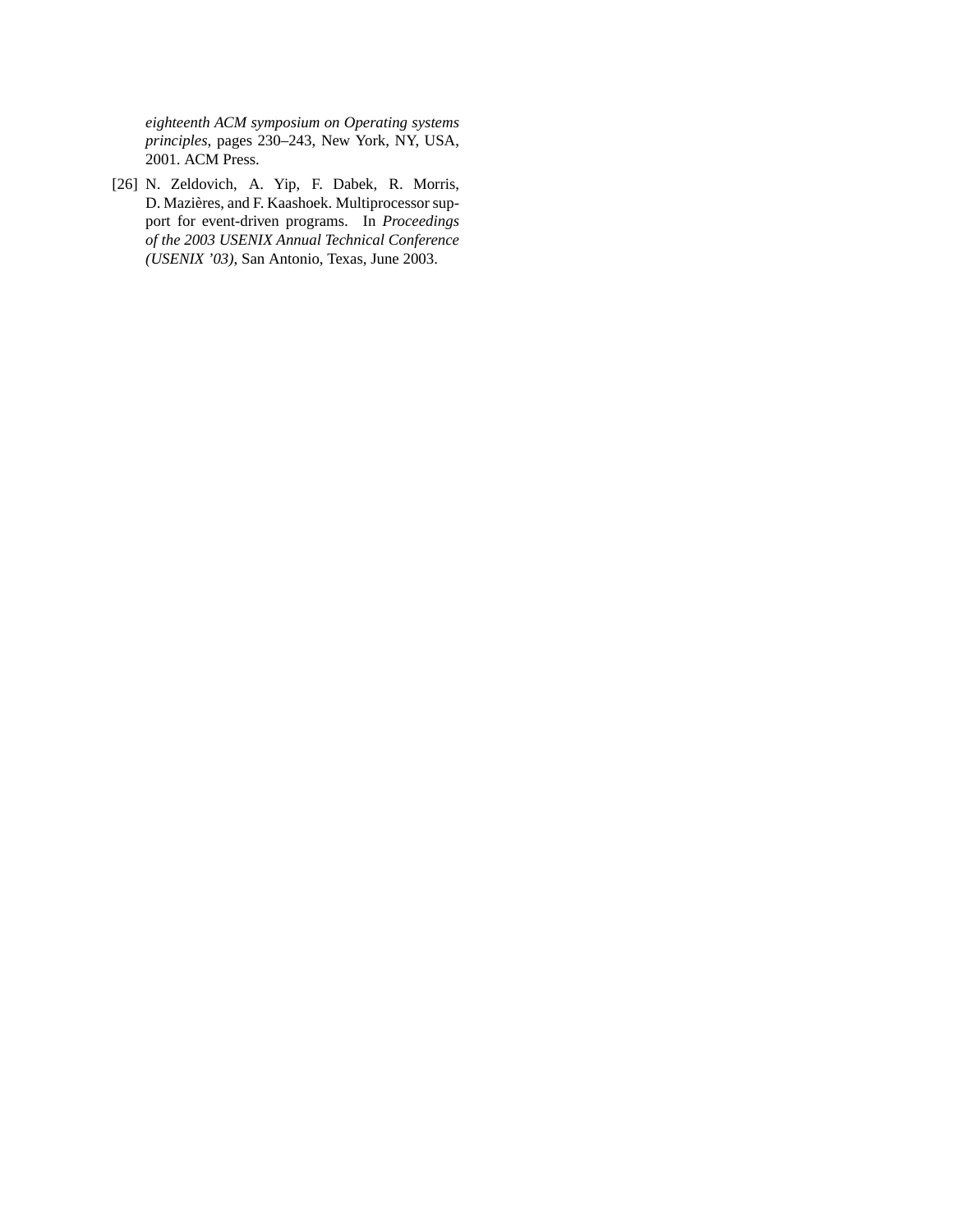*eighteenth ACM symposium on Operating systems principles*, pages 230–243, New York, NY, USA, 2001. ACM Press.

[26] N. Zeldovich, A. Yip, F. Dabek, R. Morris, D. Mazières, and F. Kaashoek. Multiprocessor support for event-driven programs. In *Proceedings of the 2003 USENIX Annual Technical Conference (USENIX '03)*, San Antonio, Texas, June 2003.